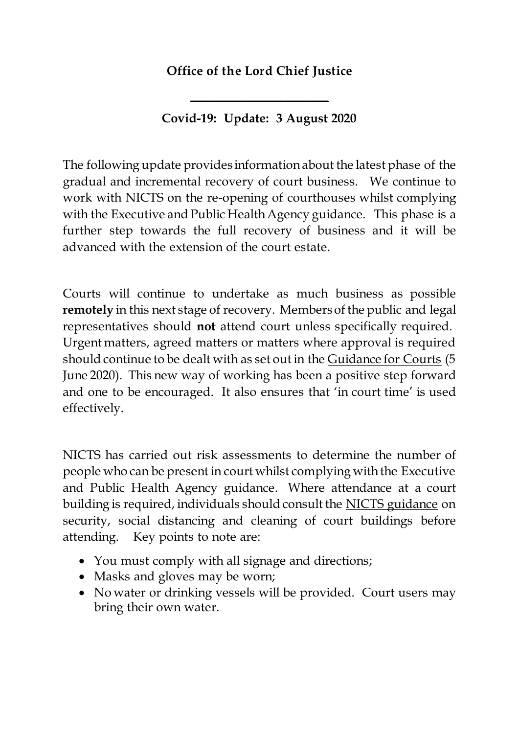### **Office of the Lord Chief Justice**

#### **Covid-19: Update: 3 August 2020**

 $\overline{\phantom{a}}$  , where  $\overline{\phantom{a}}$  , where  $\overline{\phantom{a}}$  , where  $\overline{\phantom{a}}$ 

The following update provides information about the latest phase of the gradual and incremental recovery of court business. We continue to work with NICTS on the re-opening of courthouses whilst complying with the Executive and Public Health Agency guidance. This phase is a further step towards the full recovery of business and it will be advanced with the extension of the court estate.

Courts will continue to undertake as much business as possible **remotely** in this next stage of recovery. Members of the public and legal representatives should **not** attend court unless specifically required. Urgent matters, agreed matters or matters where approval is required should continue to be dealt with as set out in the [Guidance for Courts](https://judiciaryni.uk/sites/judiciary/files/media-files/Covid-19%20-%20Guidance%20for%20Courts%20-%20050620_0.pdf) (5 June 2020). This new way of working has been a positive step forward and one to be encouraged. It also ensures that 'in court time' is used effectively.

NICTS has carried out risk assessments to determine the number of people who can be present in court whilst complying with the Executive and Public Health Agency guidance. Where attendance at a court building is required, individuals should consult the [NICTS guidance](https://www.justice-ni.gov.uk/keeping-court-and-tribunal-buildings-safe-secure-and-clean) on security, social distancing and cleaning of court buildings before attending. Key points to note are:

- You must comply with all signage and directions;
- Masks and gloves may be worn;
- No water or drinking vessels will be provided. Court users may bring their own water.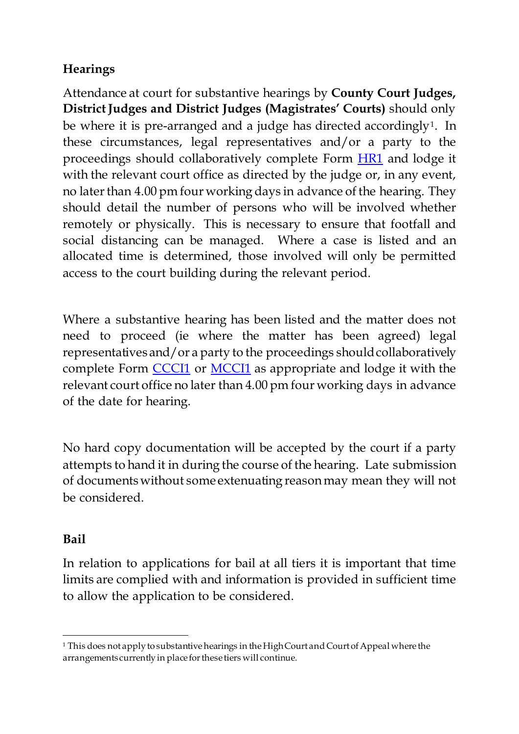# **Hearings**

Attendance at court for substantive hearings by **County Court Judges, District Judges and District Judges (Magistrates' Courts)** should only be where it is pre-arranged and a judge has directed accordingly<sup>[1](#page-1-0)</sup>. In these circumstances, legal representatives and/or a party to the proceedings should collaboratively complete Form **HR1** and lodge it with the relevant court office as directed by the judge or, in any event, no later than 4.00 pm four working days in advance of the hearing. They should detail the number of persons who will be involved whether remotely or physically. This is necessary to ensure that footfall and social distancing can be managed. Where a case is listed and an allocated time is determined, those involved will only be permitted access to the court building during the relevant period.

Where a substantive hearing has been listed and the matter does not need to proceed (ie where the matter has been agreed) legal representatives and/or a party to the proceedings should collaboratively complete Form [CCCI1](https://judiciaryni.uk/sites/judiciary/files/media-files/FORM%20CCCI1%20County%20Court%20Business%20Continuity%20Covid-19%20V5.0%20Issued%205.6.20.DOC) o[r MCCI1](https://judiciaryni.uk/sites/judiciary/files/media-files/FORM%20MCCI1%20%20Magistrates%20%20Court%20Business%20Continuity%20Covid%2019%20%2012.5.20.DOC) as appropriate and lodge it with the relevant court office no later than 4.00 pm four working days in advance of the date for hearing.

No hard copy documentation will be accepted by the court if a party attempts to hand it in during the course of the hearing. Late submission of documents without some extenuating reason may mean they will not be considered.

### **Bail**

In relation to applications for bail at all tiers it is important that time limits are complied with and information is provided in sufficient time to allow the application to be considered.

<span id="page-1-0"></span><sup>1</sup> <sup>1</sup> This does not apply to substantive hearings in the High Court and Court of Appeal where the arrangements currently in place for these tiers will continue.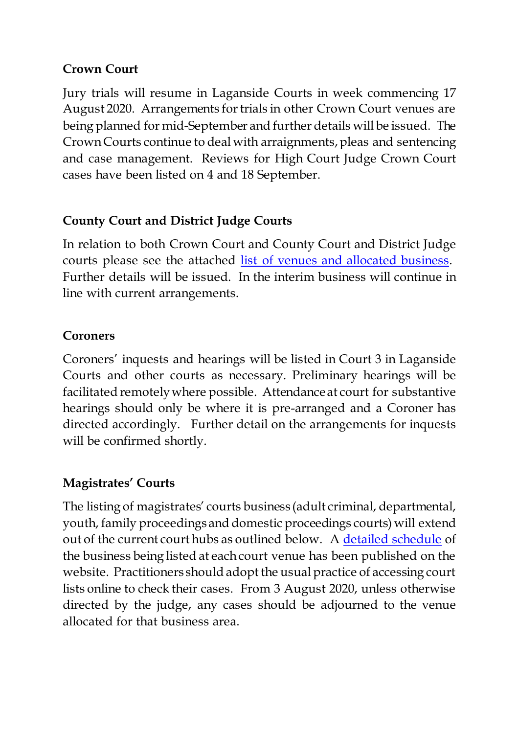### **Crown Court**

Jury trials will resume in Laganside Courts in week commencing 17 August 2020. Arrangements for trials in other Crown Court venues are being planned for mid-September and further details will be issued. The Crown Courts continue to deal with arraignments, pleas and sentencing and case management. Reviews for High Court Judge Crown Court cases have been listed on 4 and 18 September.

## **County Court and District Judge Courts**

In relation to both Crown Court and County Court and District Judge courts please see the attached [list of venues and allocated business.](https://judiciaryni.uk/sites/judiciary/files/media-files/County%20Court%20Judge%20and%20District%20Judge%20-%20Allocated%20courts%20and%20business%20-%2031.07.20.pdf) Further details will be issued. In the interim business will continue in line with current arrangements.

## **Coroners**

Coroners' inquests and hearings will be listed in Court 3 in Laganside Courts and other courts as necessary. Preliminary hearings will be facilitated remotely where possible. Attendance at court for substantive hearings should only be where it is pre-arranged and a Coroner has directed accordingly. Further detail on the arrangements for inquests will be confirmed shortly.

## **Magistrates' Courts**

The listing of magistrates' courts business (adult criminal, departmental, youth, family proceedings and domestic proceedings courts) will extend out of the current court hubs as outlined below. A [detailed schedule](https://judiciaryni.uk/sites/judiciary/files/media-files/Magistrates%27%20Courts%20-%20Allocated%20Courts%20and%20Schedules%20-%2031.07.20%20-%20Revised%2007.08.20.pdf) of the business being listed at each court venue has been published on the website. Practitioners should adopt the usual practice of accessing court lists online to check their cases. From 3 August 2020, unless otherwise directed by the judge, any cases should be adjourned to the venue allocated for that business area.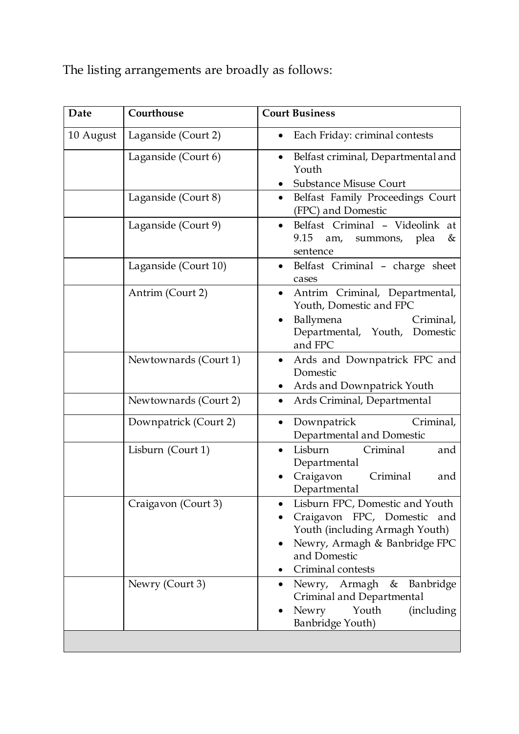The listing arrangements are broadly as follows:

| Date      | Courthouse            | <b>Court Business</b>                                                                                                                                                          |
|-----------|-----------------------|--------------------------------------------------------------------------------------------------------------------------------------------------------------------------------|
| 10 August | Laganside (Court 2)   | Each Friday: criminal contests                                                                                                                                                 |
|           | Laganside (Court 6)   | Belfast criminal, Departmental and<br>$\bullet$<br>Youth<br><b>Substance Misuse Court</b>                                                                                      |
|           | Laganside (Court 8)   | Belfast Family Proceedings Court<br>$\bullet$<br>(FPC) and Domestic                                                                                                            |
|           | Laganside (Court 9)   | Belfast Criminal - Videolink at<br>$\bullet$<br>9.15 am, summons, plea<br>&<br>sentence                                                                                        |
|           | Laganside (Court 10)  | Belfast Criminal - charge sheet<br>cases                                                                                                                                       |
|           | Antrim (Court 2)      | Antrim Criminal, Departmental,<br>$\bullet$<br>Youth, Domestic and FPC<br>Ballymena<br>Criminal,<br>Departmental, Youth, Domestic<br>and FPC                                   |
|           | Newtownards (Court 1) | Ards and Downpatrick FPC and<br>Domestic<br>Ards and Downpatrick Youth<br>$\bullet$                                                                                            |
|           | Newtownards (Court 2) | Ards Criminal, Departmental<br>$\bullet$                                                                                                                                       |
|           | Downpatrick (Court 2) | Criminal,<br>Downpatrick<br>$\bullet$<br>Departmental and Domestic                                                                                                             |
|           | Lisburn (Court 1)     | Lisburn<br>Criminal<br>and<br>$\bullet$<br>Departmental<br>Craigavon<br>Criminal<br>and<br>Departmental                                                                        |
|           | Craigavon (Court 3)   | Lisburn FPC, Domestic and Youth<br>٠<br>Craigavon FPC, Domestic<br>and<br>Youth (including Armagh Youth)<br>Newry, Armagh & Banbridge FPC<br>and Domestic<br>Criminal contests |
|           | Newry (Court 3)       | Newry, Armagh<br>Banbridge<br>&<br>Criminal and Departmental<br>Youth<br>Newry<br>(including)<br><b>Banbridge Youth)</b>                                                       |
|           |                       |                                                                                                                                                                                |